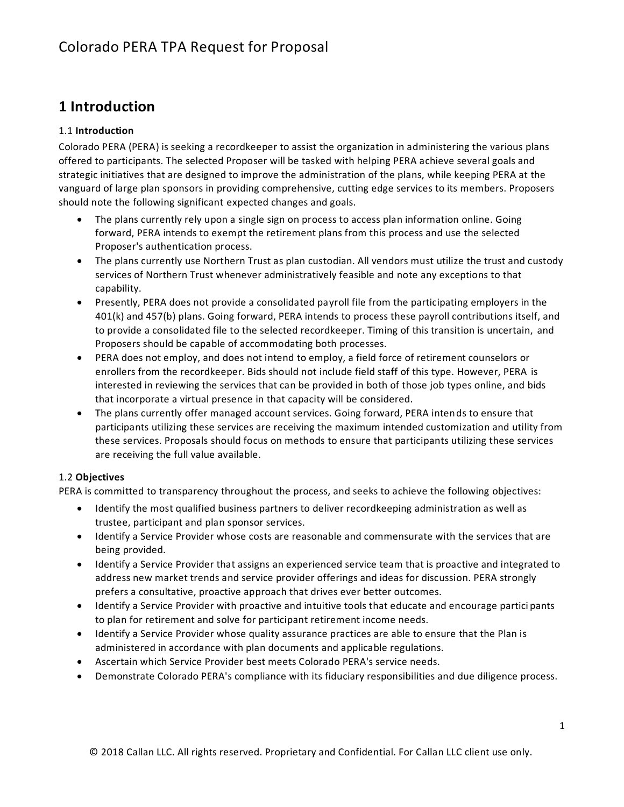## **1 Introduction**

### 1.1 **Introduction**

Colorado PERA (PERA) is seeking a recordkeeper to assist the organization in administering the various plans offered to participants. The selected Proposer will be tasked with helping PERA achieve several goals and strategic initiatives that are designed to improve the administration of the plans, while keeping PERA at the vanguard of large plan sponsors in providing comprehensive, cutting edge services to its members. Proposers should note the following significant expected changes and goals.

- The plans currently rely upon a single sign on process to access plan information online. Going forward, PERA intends to exempt the retirement plans from this process and use the selected Proposer's authentication process.
- The plans currently use Northern Trust as plan custodian. All vendors must utilize the trust and custody services of Northern Trust whenever administratively feasible and note any exceptions to that capability.
- Presently, PERA does not provide a consolidated payroll file from the participating employers in the 401(k) and 457(b) plans. Going forward, PERA intends to process these payroll contributions itself, and to provide a consolidated file to the selected recordkeeper. Timing of this transition is uncertain, and Proposers should be capable of accommodating both processes.
- PERA does not employ, and does not intend to employ, a field force of retirement counselors or enrollers from the recordkeeper. Bids should not include field staff of this type. However, PERA is interested in reviewing the services that can be provided in both of those job types online, and bids that incorporate a virtual presence in that capacity will be considered.
- The plans currently offer managed account services. Going forward, PERA intends to ensure that participants utilizing these services are receiving the maximum intended customization and utility from these services. Proposals should focus on methods to ensure that participants utilizing these services are receiving the full value available.

### 1.2 **Objectives**

PERA is committed to transparency throughout the process, and seeks to achieve the following objectives:

- Identify the most qualified business partners to deliver recordkeeping administration as well as trustee, participant and plan sponsor services.
- Identify a Service Provider whose costs are reasonable and commensurate with the services that are being provided.
- Identify a Service Provider that assigns an experienced service team that is proactive and integrated to address new market trends and service provider offerings and ideas for discussion. PERA strongly prefers a consultative, proactive approach that drives ever better outcomes.
- Identify a Service Provider with proactive and intuitive tools that educate and encourage partici pants to plan for retirement and solve for participant retirement income needs.
- Identify a Service Provider whose quality assurance practices are able to ensure that the Plan is administered in accordance with plan documents and applicable regulations.
- Ascertain which Service Provider best meets Colorado PERA's service needs.
- Demonstrate Colorado PERA's compliance with its fiduciary responsibilities and due diligence process.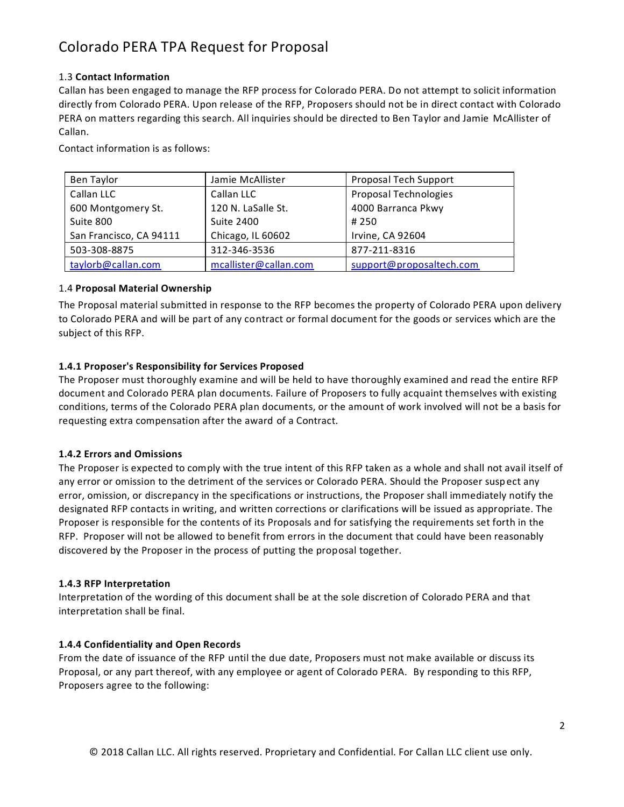#### 1.3 **Contact Information**

Callan has been engaged to manage the RFP process for Colorado PERA. Do not attempt to solicit information directly from Colorado PERA. Upon release of the RFP, Proposers should not be in direct contact with Colorado PERA on matters regarding this search. All inquiries should be directed to Ben Taylor and Jamie McAllister of Callan.

Contact information is as follows:

| Ben Taylor              | Jamie McAllister      | Proposal Tech Support        |
|-------------------------|-----------------------|------------------------------|
| Callan LLC              | Callan LLC            | <b>Proposal Technologies</b> |
| 600 Montgomery St.      | 120 N. LaSalle St.    | 4000 Barranca Pkwy           |
| Suite 800               | Suite 2400            | # 250                        |
| San Francisco, CA 94111 | Chicago, IL 60602     | Irvine, CA 92604             |
| 503-308-8875            | 312-346-3536          | 877-211-8316                 |
| taylorb@callan.com      | mcallister@callan.com | support@proposaltech.com     |

#### 1.4 **Proposal Material Ownership**

The Proposal material submitted in response to the RFP becomes the property of Colorado PERA upon delivery to Colorado PERA and will be part of any contract or formal document for the goods or services which are the subject of this RFP.

#### **1.4.1 Proposer's Responsibility for Services Proposed**

The Proposer must thoroughly examine and will be held to have thoroughly examined and read the entire RFP document and Colorado PERA plan documents. Failure of Proposers to fully acquaint themselves with existing conditions, terms of the Colorado PERA plan documents, or the amount of work involved will not be a basis for requesting extra compensation after the award of a Contract.

#### **1.4.2 Errors and Omissions**

The Proposer is expected to comply with the true intent of this RFP taken as a whole and shall not avail itself of any error or omission to the detriment of the services or Colorado PERA. Should the Proposer susp ect any error, omission, or discrepancy in the specifications or instructions, the Proposer shall immediately notify the designated RFP contacts in writing, and written corrections or clarifications will be issued as appropriate. The Proposer is responsible for the contents of its Proposals and for satisfying the requirements set forth in the RFP. Proposer will not be allowed to benefit from errors in the document that could have been reasonably discovered by the Proposer in the process of putting the proposal together.

#### **1.4.3 RFP Interpretation**

Interpretation of the wording of this document shall be at the sole discretion of Colorado PERA and that interpretation shall be final.

#### **1.4.4 Confidentiality and Open Records**

From the date of issuance of the RFP until the due date, Proposers must not make available or discuss its Proposal, or any part thereof, with any employee or agent of Colorado PERA. By responding to this RFP, Proposers agree to the following: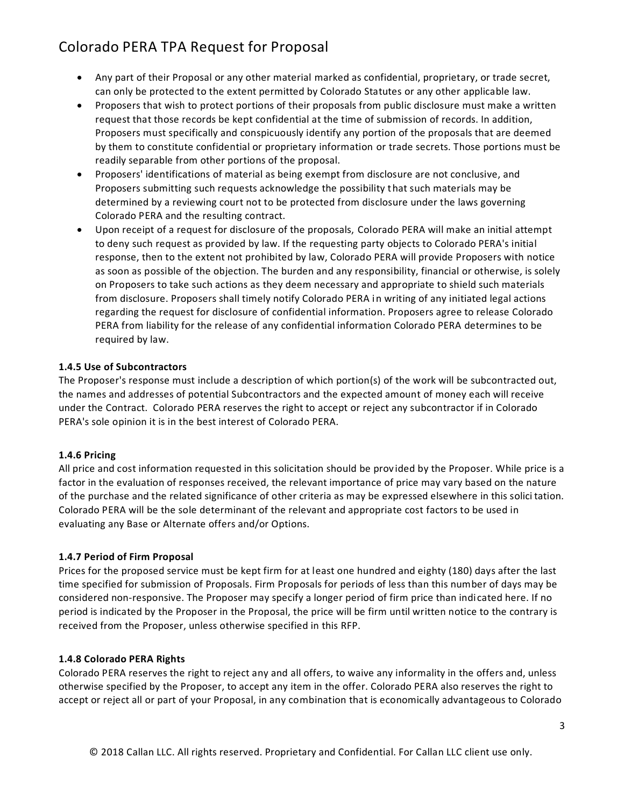- Any part of their Proposal or any other material marked as confidential, proprietary, or trade secret, can only be protected to the extent permitted by Colorado Statutes or any other applicable law.
- Proposers that wish to protect portions of their proposals from public disclosure must make a written request that those records be kept confidential at the time of submission of records. In addition, Proposers must specifically and conspicuously identify any portion of the proposals that are deemed by them to constitute confidential or proprietary information or trade secrets. Those portions must be readily separable from other portions of the proposal.
- Proposers' identifications of material as being exempt from disclosure are not conclusive, and Proposers submitting such requests acknowledge the possibility that such materials may be determined by a reviewing court not to be protected from disclosure under the laws governing Colorado PERA and the resulting contract.
- Upon receipt of a request for disclosure of the proposals, Colorado PERA will make an initial attempt to deny such request as provided by law. If the requesting party objects to Colorado PERA's initial response, then to the extent not prohibited by law, Colorado PERA will provide Proposers with notice as soon as possible of the objection. The burden and any responsibility, financial or otherwise, is solely on Proposers to take such actions as they deem necessary and appropriate to shield such materials from disclosure. Proposers shall timely notify Colorado PERA in writing of any initiated legal actions regarding the request for disclosure of confidential information. Proposers agree to release Colorado PERA from liability for the release of any confidential information Colorado PERA determines to be required by law.

#### **1.4.5 Use of Subcontractors**

The Proposer's response must include a description of which portion(s) of the work will be subcontracted out, the names and addresses of potential Subcontractors and the expected amount of money each will receive under the Contract. Colorado PERA reserves the right to accept or reject any subcontractor if in Colorado PERA's sole opinion it is in the best interest of Colorado PERA.

#### **1.4.6 Pricing**

All price and cost information requested in this solicitation should be prov ided by the Proposer. While price is a factor in the evaluation of responses received, the relevant importance of price may vary based on the nature of the purchase and the related significance of other criteria as may be expressed elsewhere in this solici tation. Colorado PERA will be the sole determinant of the relevant and appropriate cost factors to be used in evaluating any Base or Alternate offers and/or Options.

#### **1.4.7 Period of Firm Proposal**

Prices for the proposed service must be kept firm for at least one hundred and eighty (180) days after the last time specified for submission of Proposals. Firm Proposals for periods of less than this number of days may be considered non-responsive. The Proposer may specify a longer period of firm price than indi cated here. If no period is indicated by the Proposer in the Proposal, the price will be firm until written notice to the contrary is received from the Proposer, unless otherwise specified in this RFP.

#### **1.4.8 Colorado PERA Rights**

Colorado PERA reserves the right to reject any and all offers, to waive any informality in the offers and, unless otherwise specified by the Proposer, to accept any item in the offer. Colorado PERA also reserves the right to accept or reject all or part of your Proposal, in any combination that is economically advantageous to Colorado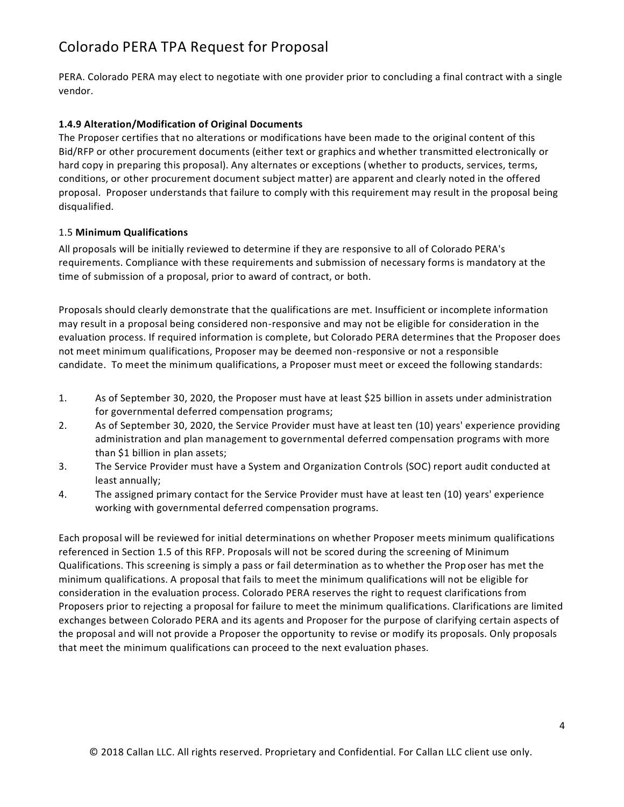PERA. Colorado PERA may elect to negotiate with one provider prior to concluding a final contract with a single vendor.

#### **1.4.9 Alteration/Modification of Original Documents**

The Proposer certifies that no alterations or modifications have been made to the original content of this Bid/RFP or other procurement documents (either text or graphics and whether transmitted electronically or hard copy in preparing this proposal). Any alternates or exceptions (whether to products, services, terms, conditions, or other procurement document subject matter) are apparent and clearly noted in the offered proposal. Proposer understands that failure to comply with this requirement may result in the proposal being disqualified.

#### 1.5 **Minimum Qualifications**

All proposals will be initially reviewed to determine if they are responsive to all of Colorado PERA's requirements. Compliance with these requirements and submission of necessary forms is mandatory at the time of submission of a proposal, prior to award of contract, or both.

Proposals should clearly demonstrate that the qualifications are met. Insufficient or incomplete information may result in a proposal being considered non-responsive and may not be eligible for consideration in the evaluation process. If required information is complete, but Colorado PERA determines that the Proposer does not meet minimum qualifications, Proposer may be deemed non-responsive or not a responsible candidate. To meet the minimum qualifications, a Proposer must meet or exceed the following standards:

- 1. As of September 30, 2020, the Proposer must have at least \$25 billion in assets under administration for governmental deferred compensation programs;
- 2. As of September 30, 2020, the Service Provider must have at least ten (10) years' experience providing administration and plan management to governmental deferred compensation programs with more than \$1 billion in plan assets;
- 3. The Service Provider must have a System and Organization Controls (SOC) report audit conducted at least annually;
- 4. The assigned primary contact for the Service Provider must have at least ten (10) years' experience working with governmental deferred compensation programs.

Each proposal will be reviewed for initial determinations on whether Proposer meets minimum qualifications referenced in Section 1.5 of this RFP. Proposals will not be scored during the screening of Minimum Qualifications. This screening is simply a pass or fail determination as to whether the Prop oser has met the minimum qualifications. A proposal that fails to meet the minimum qualifications will not be eligible for consideration in the evaluation process. Colorado PERA reserves the right to request clarifications from Proposers prior to rejecting a proposal for failure to meet the minimum qualifications. Clarifications are limited exchanges between Colorado PERA and its agents and Proposer for the purpose of clarifying certain aspects of the proposal and will not provide a Proposer the opportunity to revise or modify its proposals. Only proposals that meet the minimum qualifications can proceed to the next evaluation phases.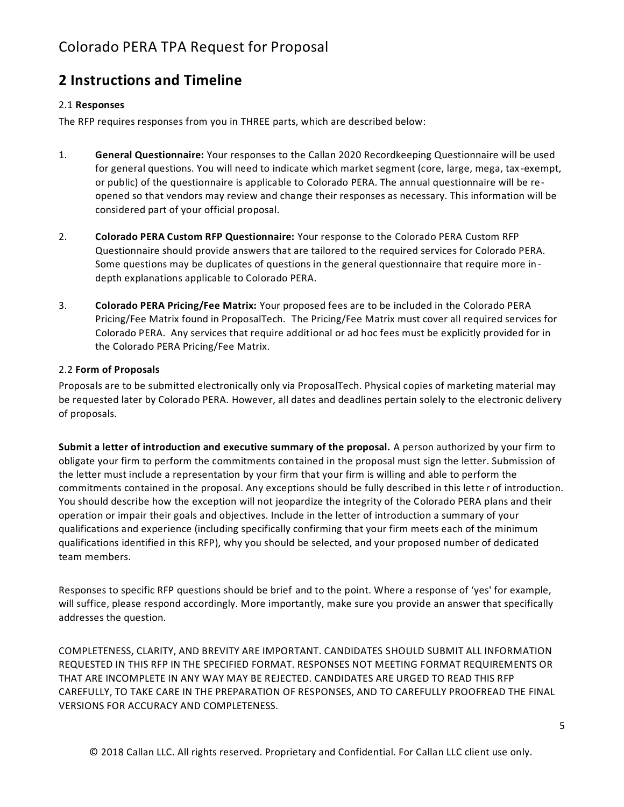### **2 Instructions and Timeline**

#### 2.1 **Responses**

The RFP requires responses from you in THREE parts, which are described below:

- 1. **General Questionnaire:** Your responses to the Callan 2020 Recordkeeping Questionnaire will be used for general questions. You will need to indicate which market segment (core, large, mega, tax -exempt, or public) of the questionnaire is applicable to Colorado PERA. The annual questionnaire will be reopened so that vendors may review and change their responses as necessary. This information will be considered part of your official proposal.
- 2. **Colorado PERA Custom RFP Questionnaire:** Your response to the Colorado PERA Custom RFP Questionnaire should provide answers that are tailored to the required services for Colorado PERA. Some questions may be duplicates of questions in the general questionnaire that require more in depth explanations applicable to Colorado PERA.
- 3. **Colorado PERA Pricing/Fee Matrix:** Your proposed fees are to be included in the Colorado PERA Pricing/Fee Matrix found in ProposalTech. The Pricing/Fee Matrix must cover all required services for Colorado PERA. Any services that require additional or ad hoc fees must be explicitly provided for in the Colorado PERA Pricing/Fee Matrix.

#### 2.2 **Form of Proposals**

Proposals are to be submitted electronically only via ProposalTech. Physical copies of marketing material may be requested later by Colorado PERA. However, all dates and deadlines pertain solely to the electronic delivery of proposals.

**Submit a letter of introduction and executive summary of the proposal.** A person authorized by your firm to obligate your firm to perform the commitments contained in the proposal must sign the letter. Submission of the letter must include a representation by your firm that your firm is willing and able to perform the commitments contained in the proposal. Any exceptions should be fully described in this lette r of introduction. You should describe how the exception will not jeopardize the integrity of the Colorado PERA plans and their operation or impair their goals and objectives. Include in the letter of introduction a summary of your qualifications and experience (including specifically confirming that your firm meets each of the minimum qualifications identified in this RFP), why you should be selected, and your proposed number of dedicated team members.

Responses to specific RFP questions should be brief and to the point. Where a response of 'yes' for example, will suffice, please respond accordingly. More importantly, make sure you provide an answer that specifically addresses the question.

COMPLETENESS, CLARITY, AND BREVITY ARE IMPORTANT. CANDIDATES SHOULD SUBMIT ALL INFORMATION REQUESTED IN THIS RFP IN THE SPECIFIED FORMAT. RESPONSES NOT MEETING FORMAT REQUIREMENTS OR THAT ARE INCOMPLETE IN ANY WAY MAY BE REJECTED. CANDIDATES ARE URGED TO READ THIS RFP CAREFULLY, TO TAKE CARE IN THE PREPARATION OF RESPONSES, AND TO CAREFULLY PROOFREAD THE FINAL VERSIONS FOR ACCURACY AND COMPLETENESS.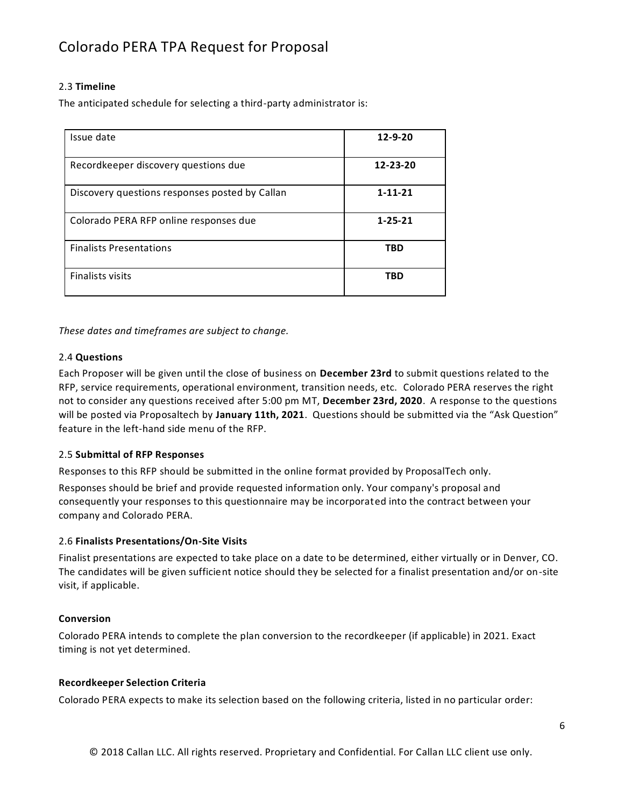#### 2.3 **Timeline**

The anticipated schedule for selecting a third-party administrator is:

| Issue date                                     | $12 - 9 - 20$ |
|------------------------------------------------|---------------|
| Recordkeeper discovery questions due           | 12-23-20      |
| Discovery questions responses posted by Callan | $1 - 11 - 21$ |
| Colorado PERA RFP online responses due         | $1 - 25 - 21$ |
| <b>Finalists Presentations</b>                 | TBD           |
| <b>Finalists visits</b>                        | TBD           |

*These dates and timeframes are subject to change.*

#### 2.4 **Questions**

Each Proposer will be given until the close of business on **December 23rd** to submit questions related to the RFP, service requirements, operational environment, transition needs, etc. Colorado PERA reserves the right not to consider any questions received after 5:00 pm MT, **December 23rd, 2020**. A response to the questions will be posted via Proposaltech by **January 11th, 2021**. Questions should be submitted via the "Ask Question" feature in the left-hand side menu of the RFP.

#### 2.5 **Submittal of RFP Responses**

Responses to this RFP should be submitted in the online format provided by ProposalTech only.

Responses should be brief and provide requested information only. Your company's proposal and consequently your responses to this questionnaire may be incorporated into the contract between your company and Colorado PERA.

#### 2.6 **Finalists Presentations/On-Site Visits**

Finalist presentations are expected to take place on a date to be determined, either virtually or in Denver, CO. The candidates will be given sufficient notice should they be selected for a finalist presentation and/or on-site visit, if applicable.

#### **Conversion**

Colorado PERA intends to complete the plan conversion to the recordkeeper (if applicable) in 2021. Exact timing is not yet determined.

#### **Recordkeeper Selection Criteria**

Colorado PERA expects to make its selection based on the following criteria, listed in no particular order: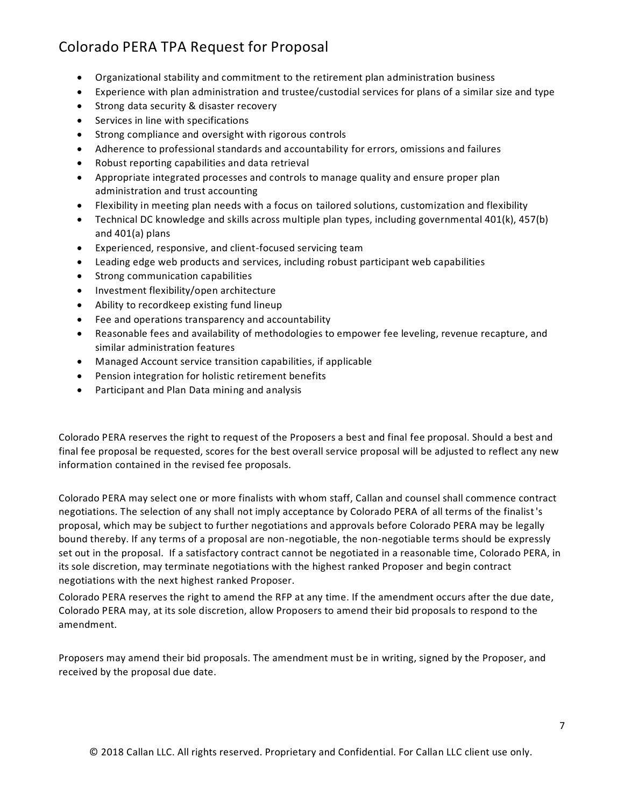- Organizational stability and commitment to the retirement plan administration business
- Experience with plan administration and trustee/custodial services for plans of a similar size and type
- Strong data security & disaster recovery
- Services in line with specifications
- Strong compliance and oversight with rigorous controls
- Adherence to professional standards and accountability for errors, omissions and failures
- Robust reporting capabilities and data retrieval
- Appropriate integrated processes and controls to manage quality and ensure proper plan administration and trust accounting
- Flexibility in meeting plan needs with a focus on tailored solutions, customization and flexibility
- Technical DC knowledge and skills across multiple plan types, including governmental 401(k), 457(b) and 401(a) plans
- Experienced, responsive, and client-focused servicing team
- Leading edge web products and services, including robust participant web capabilities
- Strong communication capabilities
- Investment flexibility/open architecture
- Ability to recordkeep existing fund lineup
- Fee and operations transparency and accountability
- Reasonable fees and availability of methodologies to empower fee leveling, revenue recapture, and similar administration features
- Managed Account service transition capabilities, if applicable
- Pension integration for holistic retirement benefits
- Participant and Plan Data mining and analysis

Colorado PERA reserves the right to request of the Proposers a best and final fee proposal. Should a best and final fee proposal be requested, scores for the best overall service proposal will be adjusted to reflect any new information contained in the revised fee proposals.

Colorado PERA may select one or more finalists with whom staff, Callan and counsel shall commence contract negotiations. The selection of any shall not imply acceptance by Colorado PERA of all terms of the finalist's proposal, which may be subject to further negotiations and approvals before Colorado PERA may be legally bound thereby. If any terms of a proposal are non-negotiable, the non-negotiable terms should be expressly set out in the proposal. If a satisfactory contract cannot be negotiated in a reasonable time, Colorado PERA, in its sole discretion, may terminate negotiations with the highest ranked Proposer and begin contract negotiations with the next highest ranked Proposer.

Colorado PERA reserves the right to amend the RFP at any time. If the amendment occurs after the due date, Colorado PERA may, at its sole discretion, allow Proposers to amend their bid proposals to respond to the amendment.

Proposers may amend their bid proposals. The amendment must be in writing, signed by the Proposer, and received by the proposal due date.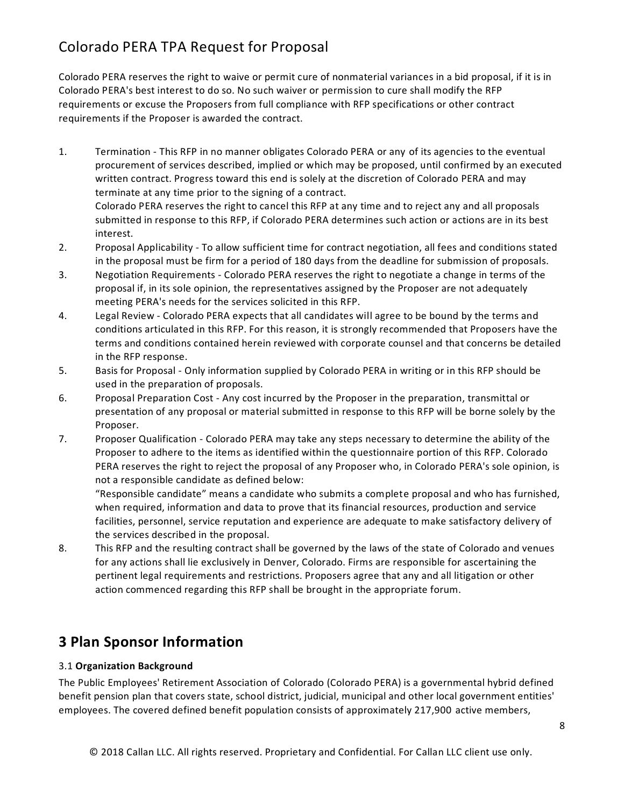Colorado PERA reserves the right to waive or permit cure of nonmaterial variances in a bid proposal, if it is in Colorado PERA's best interest to do so. No such waiver or permission to cure shall modify the RFP requirements or excuse the Proposers from full compliance with RFP specifications or other contract requirements if the Proposer is awarded the contract.

- 1. Termination This RFP in no manner obligates Colorado PERA or any of its agencies to the eventual procurement of services described, implied or which may be proposed, until confirmed by an executed written contract. Progress toward this end is solely at the discretion of Colorado PERA and may terminate at any time prior to the signing of a contract. Colorado PERA reserves the right to cancel this RFP at any time and to reject any and all proposals submitted in response to this RFP, if Colorado PERA determines such action or actions are in its best interest.
- 2. Proposal Applicability To allow sufficient time for contract negotiation, all fees and conditions stated in the proposal must be firm for a period of 180 days from the deadline for submission of proposals.
- 3. Negotiation Requirements Colorado PERA reserves the right to negotiate a change in terms of the proposal if, in its sole opinion, the representatives assigned by the Proposer are not adequately meeting PERA's needs for the services solicited in this RFP.
- 4. Legal Review Colorado PERA expects that all candidates will agree to be bound by the terms and conditions articulated in this RFP. For this reason, it is strongly recommended that Proposers have the terms and conditions contained herein reviewed with corporate counsel and that concerns be detailed in the RFP response.
- 5. Basis for Proposal Only information supplied by Colorado PERA in writing or in this RFP should be used in the preparation of proposals.
- 6. Proposal Preparation Cost Any cost incurred by the Proposer in the preparation, transmittal or presentation of any proposal or material submitted in response to this RFP will be borne solely by the Proposer.
- 7. Proposer Qualification Colorado PERA may take any steps necessary to determine the ability of the Proposer to adhere to the items as identified within the questionnaire portion of this RFP. Colorado PERA reserves the right to reject the proposal of any Proposer who, in Colorado PERA's sole opinion, is not a responsible candidate as defined below:

"Responsible candidate" means a candidate who submits a complete proposal and who has furnished, when required, information and data to prove that its financial resources, production and service facilities, personnel, service reputation and experience are adequate to make satisfactory delivery of the services described in the proposal.

8. This RFP and the resulting contract shall be governed by the laws of the state of Colorado and venues for any actions shall lie exclusively in Denver, Colorado. Firms are responsible for ascertaining the pertinent legal requirements and restrictions. Proposers agree that any and all litigation or other action commenced regarding this RFP shall be brought in the appropriate forum.

# **3 Plan Sponsor Information**

#### 3.1 **Organization Background**

The Public Employees' Retirement Association of Colorado (Colorado PERA) is a governmental hybrid defined benefit pension plan that covers state, school district, judicial, municipal and other local government entities' employees. The covered defined benefit population consists of approximately 217,900 active members,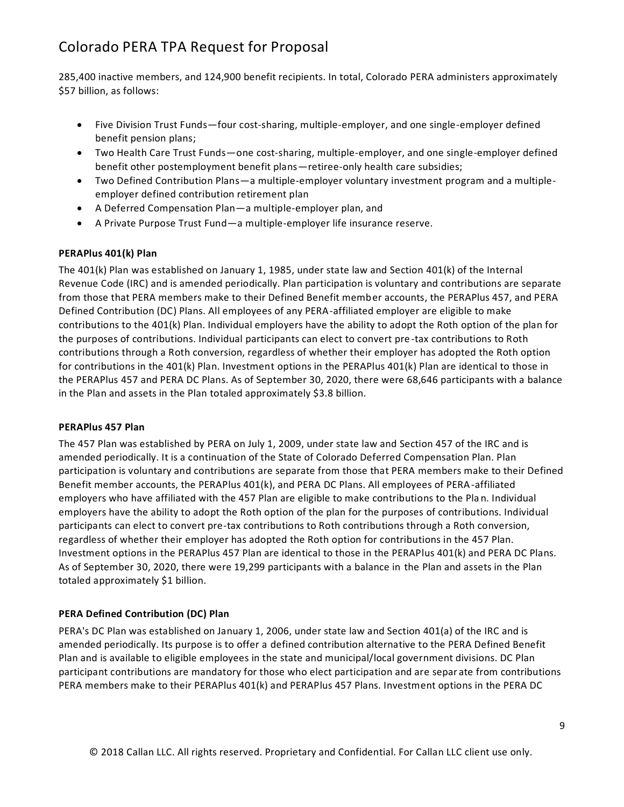285,400 inactive members, and 124,900 benefit recipients. In total, Colorado PERA administers approximately \$57 billion, as follows:

- Five Division Trust Funds—four cost-sharing, multiple-employer, and one single-employer defined benefit pension plans;
- Two Health Care Trust Funds—one cost-sharing, multiple-employer, and one single-employer defined benefit other postemployment benefit plans—retiree-only health care subsidies;
- Two Defined Contribution Plans—a multiple-employer voluntary investment program and a multipleemployer defined contribution retirement plan
- A Deferred Compensation Plan—a multiple-employer plan, and
- A Private Purpose Trust Fund—a multiple-employer life insurance reserve.

#### **PERAPlus 401(k) Plan**

The 401(k) Plan was established on January 1, 1985, under state law and Section 401(k) of the Internal Revenue Code (IRC) and is amended periodically. Plan participation is voluntary and contributions are separate from those that PERA members make to their Defined Benefit member accounts, the PERAPlus 457, and PERA Defined Contribution (DC) Plans. All employees of any PERA-affiliated employer are eligible to make contributions to the 401(k) Plan. Individual employers have the ability to adopt the Roth option of the plan for the purposes of contributions. Individual participants can elect to convert pre -tax contributions to Roth contributions through a Roth conversion, regardless of whether their employer has adopted the Roth option for contributions in the 401(k) Plan. Investment options in the PERAPlus 401(k) Plan are identical to those in the PERAPlus 457 and PERA DC Plans. As of September 30, 2020, there were 68,646 participants with a balance in the Plan and assets in the Plan totaled approximately \$3.8 billion.

#### **PERAPlus 457 Plan**

The 457 Plan was established by PERA on July 1, 2009, under state law and Section 457 of the IRC and is amended periodically. It is a continuation of the State of Colorado Deferred Compensation Plan. Plan participation is voluntary and contributions are separate from those that PERA members make to their Defined Benefit member accounts, the PERAPlus 401(k), and PERA DC Plans. All employees of PERA-affiliated employers who have affiliated with the 457 Plan are eligible to make contributions to the Pla n. Individual employers have the ability to adopt the Roth option of the plan for the purposes of contributions. Individual participants can elect to convert pre-tax contributions to Roth contributions through a Roth conversion, regardless of whether their employer has adopted the Roth option for contributions in the 457 Plan. Investment options in the PERAPlus 457 Plan are identical to those in the PERAPlus 401(k) and PERA DC Plans. As of September 30, 2020, there were 19,299 participants with a balance in the Plan and assets in the Plan totaled approximately \$1 billion.

#### **PERA Defined Contribution (DC) Plan**

PERA's DC Plan was established on January 1, 2006, under state law and Section 401(a) of the IRC and is amended periodically. Its purpose is to offer a defined contribution alternative to the PERA Defined Benefit Plan and is available to eligible employees in the state and municipal/local government divisions. DC Plan participant contributions are mandatory for those who elect participation and are separ ate from contributions PERA members make to their PERAPlus 401(k) and PERAPlus 457 Plans. Investment options in the PERA DC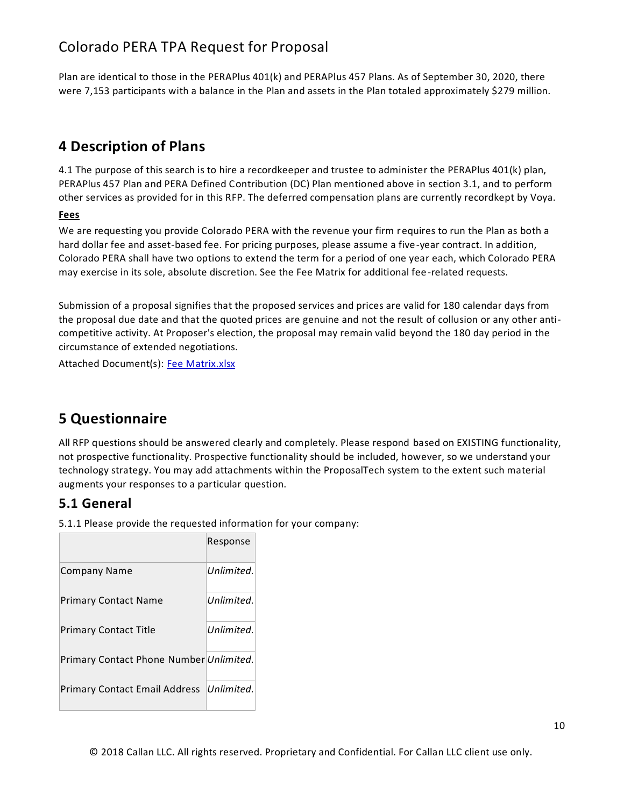Plan are identical to those in the PERAPlus 401(k) and PERAPlus 457 Plans. As of September 30, 2020, there were 7,153 participants with a balance in the Plan and assets in the Plan totaled approximately \$279 million.

### **4 Description of Plans**

4.1 The purpose of this search is to hire a recordkeeper and trustee to administer the PERAPlus 401(k) plan, PERAPlus 457 Plan and PERA Defined Contribution (DC) Plan mentioned above in section 3.1, and to perform other services as provided for in this RFP. The deferred compensation plans are currently recordkept by Voya.

#### **Fees**

We are requesting you provide Colorado PERA with the revenue your firm requires to run the Plan as both a hard dollar fee and asset-based fee. For pricing purposes, please assume a five-year contract. In addition, Colorado PERA shall have two options to extend the term for a period of one year each, which Colorado PERA may exercise in its sole, absolute discretion. See the Fee Matrix for additional fee -related requests.

Submission of a proposal signifies that the proposed services and prices are valid for 180 calendar days from the proposal due date and that the quoted prices are genuine and not the result of collusion or any other anticompetitive activity. At Proposer's election, the proposal may remain valid beyond the 180 day period in the circumstance of extended negotiations.

Attached Document(s): [Fee Matrix.xlsx](file:///C:/Users/hhein/AppData/Local/Temp/api/doc.php/80947073%3fdoc_id=80947073&howname=0&viachild=1&sessid=admincallan96654_4991_06&popup=1)

# **5 Questionnaire**

All RFP questions should be answered clearly and completely. Please respond based on EXISTING functionality, not prospective functionality. Prospective functionality should be included, however, so we understand your technology strategy. You may add attachments within the ProposalTech system to the extent such material augments your responses to a particular question.

### **5.1 General**

5.1.1 Please provide the requested information for your company:

|                                         | Response   |
|-----------------------------------------|------------|
| <b>Company Name</b>                     | Unlimited. |
| <b>Primary Contact Name</b>             | Unlimited. |
| <b>Primary Contact Title</b>            | Unlimited. |
| Primary Contact Phone Number Unlimited. |            |
| Primary Contact Email Address           | Unlimited. |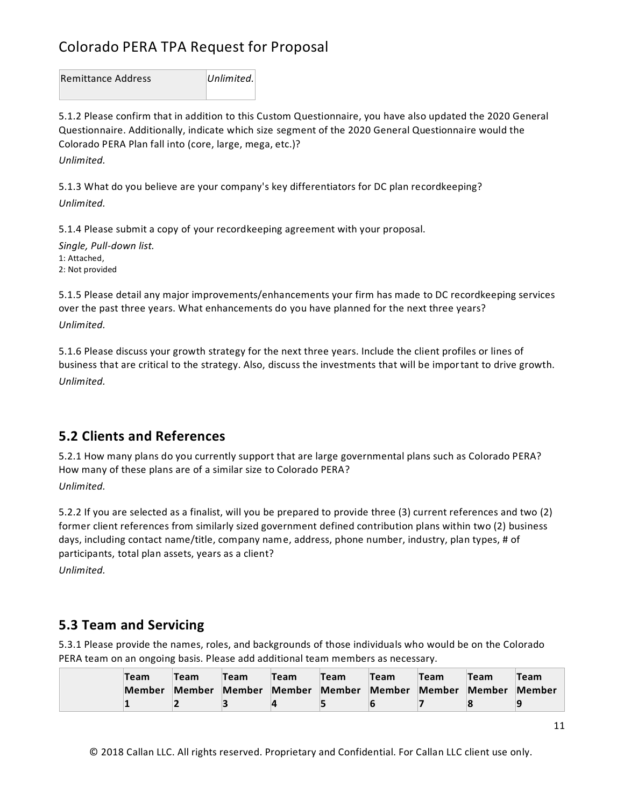Remittance Address *Unlimited.*

5.1.2 Please confirm that in addition to this Custom Questionnaire, you have also updated the 2020 General Questionnaire. Additionally, indicate which size segment of the 2020 General Questionnaire would the Colorado PERA Plan fall into (core, large, mega, etc.)?

*Unlimited.*

5.1.3 What do you believe are your company's key differentiators for DC plan recordkeeping? *Unlimited.*

5.1.4 Please submit a copy of your recordkeeping agreement with your proposal.

*Single, Pull-down list.* 1: Attached, 2: Not provided

5.1.5 Please detail any major improvements/enhancements your firm has made to DC recordkeeping services over the past three years. What enhancements do you have planned for the next three years? *Unlimited.*

5.1.6 Please discuss your growth strategy for the next three years. Include the client profiles or lines of business that are critical to the strategy. Also, discuss the investments that will be important to drive growth. *Unlimited.*

### **5.2 Clients and References**

5.2.1 How many plans do you currently support that are large governmental plans such as Colorado PERA? How many of these plans are of a similar size to Colorado PERA?

*Unlimited.*

5.2.2 If you are selected as a finalist, will you be prepared to provide three (3) current references and two (2) former client references from similarly sized government defined contribution plans within two (2) business days, including contact name/title, company name, address, phone number, industry, plan types, # of participants, total plan assets, years as a client?

*Unlimited.*

### **5.3 Team and Servicing**

5.3.1 Please provide the names, roles, and backgrounds of those individuals who would be on the Colorado PERA team on an ongoing basis. Please add additional team members as necessary.

| Team   | Team   | <b>Team</b> | Team          | <b>Team</b> | Team          | Team | Team   | Team   |
|--------|--------|-------------|---------------|-------------|---------------|------|--------|--------|
| Member | Member | Member      | Member Member |             | Member Member |      | Member | Member |
|        |        |             |               |             |               |      |        |        |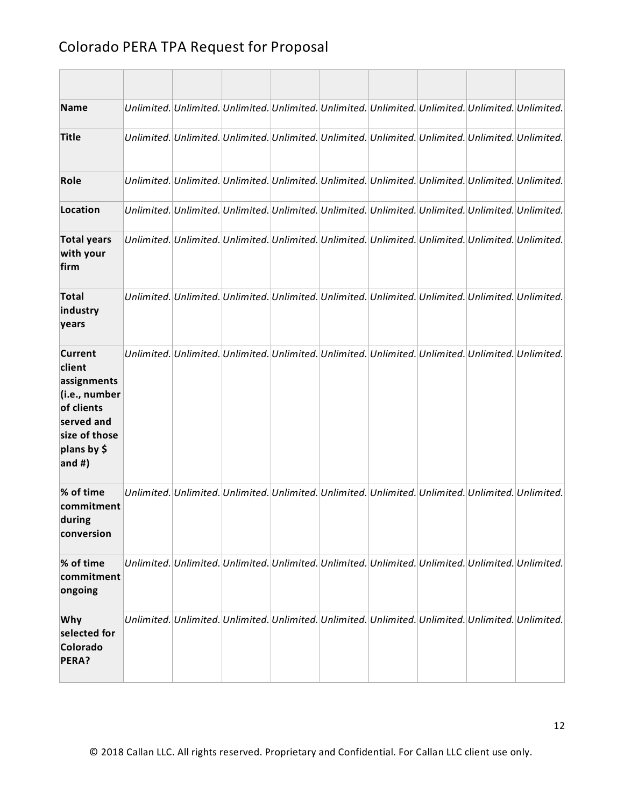| <b>Name</b>                                                                                                                       | Unlimited. Unlimited. Unlimited. Unlimited. Unlimited. Unlimited. Unlimited. Unlimited. Unlimited. |  |  |  |                                                                                                    |
|-----------------------------------------------------------------------------------------------------------------------------------|----------------------------------------------------------------------------------------------------|--|--|--|----------------------------------------------------------------------------------------------------|
| <b>Title</b>                                                                                                                      |                                                                                                    |  |  |  | Unlimited. Unlimited. Unlimited. Unlimited. Unlimited. Unlimited. Unlimited. Unlimited. Unlimited. |
| Role                                                                                                                              | Unlimited. Unlimited. Unlimited. Unlimited. Unlimited. Unlimited. Unlimited. Unlimited. Unlimited. |  |  |  |                                                                                                    |
| Location                                                                                                                          | Unlimited. Unlimited. Unlimited. Unlimited. Unlimited. Unlimited. Unlimited. Unlimited. Unlimited. |  |  |  |                                                                                                    |
| <b>Total years</b><br>with your<br>firm                                                                                           | Unlimited. Unlimited. Unlimited. Unlimited. Unlimited. Unlimited. Unlimited. Unlimited. Unlimited. |  |  |  |                                                                                                    |
| <b>Total</b><br>industry<br>years                                                                                                 | Unlimited. Unlimited. Unlimited. Unlimited. Unlimited. Unlimited. Unlimited. Unlimited. Unlimited. |  |  |  |                                                                                                    |
| <b>Current</b><br>client<br>assignments<br>(i.e., number<br>of clients<br>served and<br>size of those<br>plans by \$<br>and $#$ ) | Unlimited. Unlimited. Unlimited. Unlimited. Unlimited. Unlimited. Unlimited. Unlimited. Unlimited. |  |  |  |                                                                                                    |
| % of time<br>commitment<br>during<br>conversion                                                                                   | Unlimited. Unlimited. Unlimited. Unlimited. Unlimited. Unlimited. Unlimited. Unlimited. Unlimited. |  |  |  |                                                                                                    |
| % of time<br>commitment<br>ongoing                                                                                                | Unlimited. Unlimited. Unlimited. Unlimited. Unlimited. Unlimited. Unlimited. Unlimited. Unlimited. |  |  |  |                                                                                                    |
| Why<br>selected for<br>Colorado<br>PERA?                                                                                          | Unlimited. Unlimited. Unlimited. Unlimited. Unlimited. Unlimited. Unlimited. Unlimited. Unlimited. |  |  |  |                                                                                                    |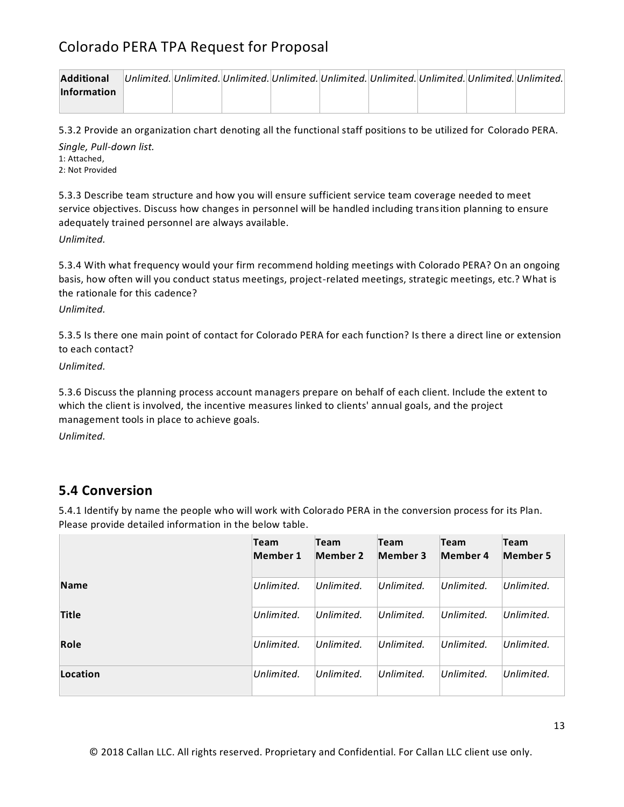| <b>Additional</b>  |  |  |  |  | Unlimited. Unlimited. Unlimited. Unlimited. Unlimited. Unlimited. Unlimited. Unlimited. Unlimited. |
|--------------------|--|--|--|--|----------------------------------------------------------------------------------------------------|
| <b>Information</b> |  |  |  |  |                                                                                                    |
|                    |  |  |  |  |                                                                                                    |

5.3.2 Provide an organization chart denoting all the functional staff positions to be utilized for Colorado PERA.

*Single, Pull-down list.* 1: Attached, 2: Not Provided

5.3.3 Describe team structure and how you will ensure sufficient service team coverage needed to meet service objectives. Discuss how changes in personnel will be handled including transition planning to ensure adequately trained personnel are always available.

*Unlimited.*

5.3.4 With what frequency would your firm recommend holding meetings with Colorado PERA? On an ongoing basis, how often will you conduct status meetings, project-related meetings, strategic meetings, etc.? What is the rationale for this cadence?

*Unlimited.*

5.3.5 Is there one main point of contact for Colorado PERA for each function? Is there a direct line or extension to each contact?

*Unlimited.*

5.3.6 Discuss the planning process account managers prepare on behalf of each client. Include the extent to which the client is involved, the incentive measures linked to clients' annual goals, and the project management tools in place to achieve goals.

*Unlimited.*

### **5.4 Conversion**

5.4.1 Identify by name the people who will work with Colorado PERA in the conversion process for its Plan. Please provide detailed information in the below table.

|              | <b>Team</b><br>Member 1 | <b>Team</b><br>Member 2 | <b>Team</b><br><b>Member 3</b> | <b>Team</b><br>Member 4 | <b>Team</b><br><b>Member 5</b> |
|--------------|-------------------------|-------------------------|--------------------------------|-------------------------|--------------------------------|
| <b>Name</b>  | Unlimited.              | Unlimited.              | Unlimited.                     | Unlimited.              | Unlimited.                     |
| <b>Title</b> | Unlimited.              | Unlimited.              | Unlimited.                     | Unlimited.              | Unlimited.                     |
| Role         | Unlimited.              | Unlimited.              | Unlimited.                     | Unlimited.              | Unlimited.                     |
| Location     | Unlimited.              | Unlimited.              | Unlimited.                     | Unlimited.              | Unlimited.                     |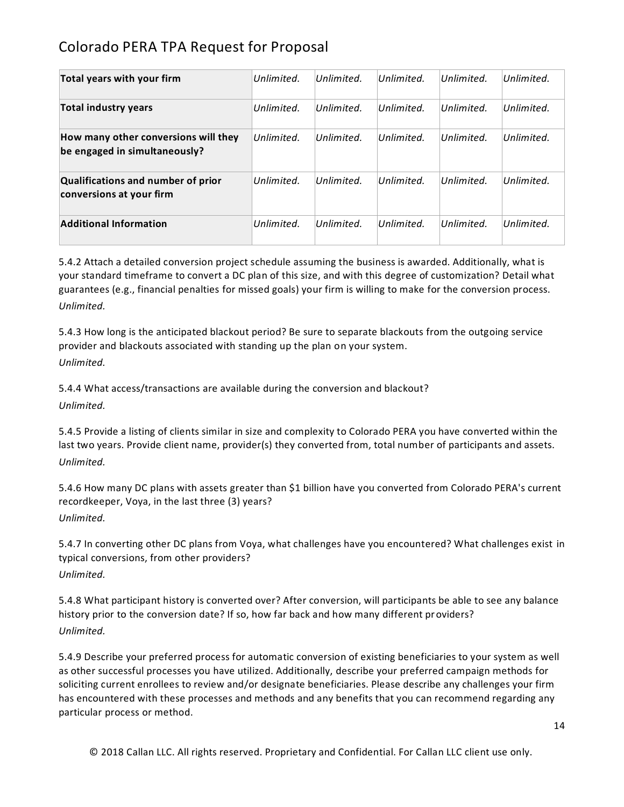| Total years with your firm                                            | Unlimited. | Unlimited. | Unlimited. | Unlimited. | Unlimited. |
|-----------------------------------------------------------------------|------------|------------|------------|------------|------------|
| <b>Total industry years</b>                                           | Unlimited. | Unlimited. | Unlimited. | Unlimited. | Unlimited. |
| How many other conversions will they<br>be engaged in simultaneously? | Unlimited. | Unlimited. | Unlimited. | Unlimited. | Unlimited. |
| <b>Qualifications and number of prior</b><br>conversions at your firm | Unlimited. | Unlimited. | Unlimited. | Unlimited. | Unlimited. |
| <b>Additional Information</b>                                         | Unlimited. | Unlimited. | Unlimited. | Unlimited. | Unlimited. |

5.4.2 Attach a detailed conversion project schedule assuming the business is awarded. Additionally, what is your standard timeframe to convert a DC plan of this size, and with this degree of customization? Detail what guarantees (e.g., financial penalties for missed goals) your firm is willing to make for the conversion process. *Unlimited.*

5.4.3 How long is the anticipated blackout period? Be sure to separate blackouts from the outgoing service provider and blackouts associated with standing up the plan on your system. *Unlimited.*

5.4.4 What access/transactions are available during the conversion and blackout? *Unlimited.*

5.4.5 Provide a listing of clients similar in size and complexity to Colorado PERA you have converted within the last two years. Provide client name, provider(s) they converted from, total number of participants and assets. *Unlimited.*

5.4.6 How many DC plans with assets greater than \$1 billion have you converted from Colorado PERA's current recordkeeper, Voya, in the last three (3) years? *Unlimited.*

5.4.7 In converting other DC plans from Voya, what challenges have you encountered? What challenges exist in typical conversions, from other providers? *Unlimited.*

5.4.8 What participant history is converted over? After conversion, will participants be able to see any balance history prior to the conversion date? If so, how far back and how many different providers? *Unlimited.*

5.4.9 Describe your preferred process for automatic conversion of existing beneficiaries to your system as well as other successful processes you have utilized. Additionally, describe your preferred campaign methods for soliciting current enrollees to review and/or designate beneficiaries. Please describe any challenges your firm has encountered with these processes and methods and any benefits that you can recommend regarding any particular process or method.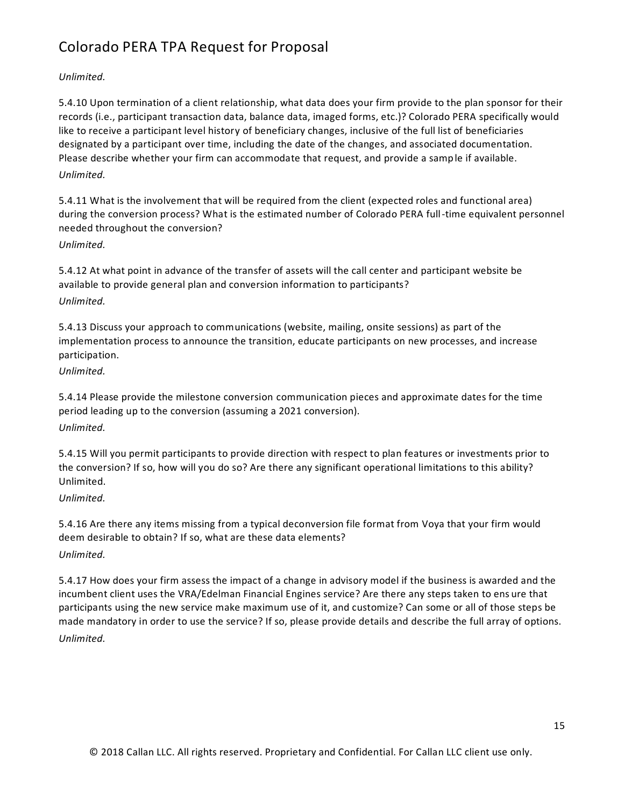### *Unlimited.*

5.4.10 Upon termination of a client relationship, what data does your firm provide to the plan sponsor for their records (i.e., participant transaction data, balance data, imaged forms, etc.)? Colorado PERA specifically would like to receive a participant level history of beneficiary changes, inclusive of the full list of beneficiaries designated by a participant over time, including the date of the changes, and associated documentation. Please describe whether your firm can accommodate that request, and provide a sample if available. *Unlimited.*

5.4.11 What is the involvement that will be required from the client (expected roles and functional area) during the conversion process? What is the estimated number of Colorado PERA full-time equivalent personnel needed throughout the conversion?

#### *Unlimited.*

5.4.12 At what point in advance of the transfer of assets will the call center and participant website be available to provide general plan and conversion information to participants? *Unlimited.*

5.4.13 Discuss your approach to communications (website, mailing, onsite sessions) as part of the implementation process to announce the transition, educate participants on new processes, and increase participation.

*Unlimited.*

5.4.14 Please provide the milestone conversion communication pieces and approximate dates for the time period leading up to the conversion (assuming a 2021 conversion).

*Unlimited.*

5.4.15 Will you permit participants to provide direction with respect to plan features or investments prior to the conversion? If so, how will you do so? Are there any significant operational limitations to this ability? Unlimited.

### *Unlimited.*

5.4.16 Are there any items missing from a typical deconversion file format from Voya that your firm would deem desirable to obtain? If so, what are these data elements? *Unlimited.*

5.4.17 How does your firm assess the impact of a change in advisory model if the business is awarded and the incumbent client uses the VRA/Edelman Financial Engines service? Are there any steps taken to ens ure that participants using the new service make maximum use of it, and customize? Can some or all of those steps be made mandatory in order to use the service? If so, please provide details and describe the full array of options. *Unlimited.*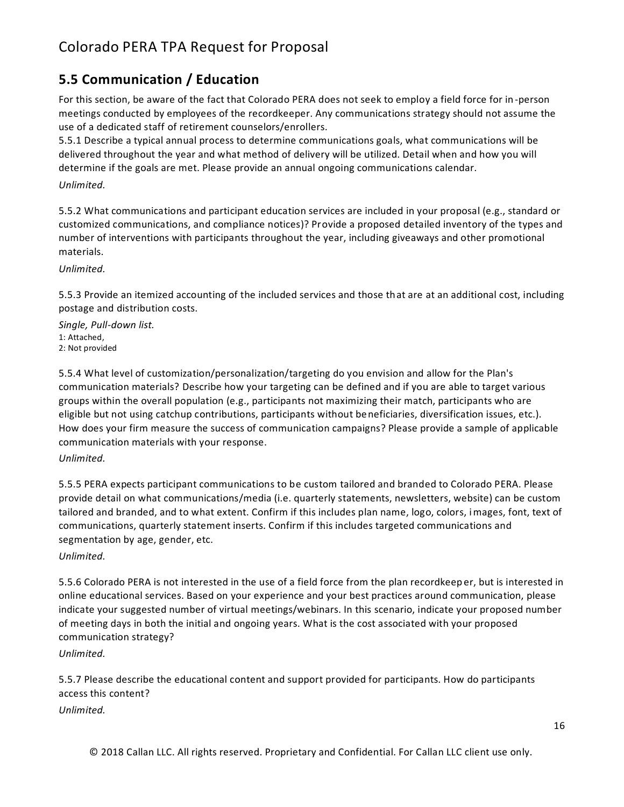### **5.5 Communication / Education**

For this section, be aware of the fact that Colorado PERA does not seek to employ a field force for in -person meetings conducted by employees of the recordkeeper. Any communications strategy should not assume the use of a dedicated staff of retirement counselors/enrollers.

5.5.1 Describe a typical annual process to determine communications goals, what communications will be delivered throughout the year and what method of delivery will be utilized. Detail when and how you will determine if the goals are met. Please provide an annual ongoing communications calendar.

*Unlimited.*

5.5.2 What communications and participant education services are included in your proposal (e.g., standard or customized communications, and compliance notices)? Provide a proposed detailed inventory of the types and number of interventions with participants throughout the year, including giveaways and other promotional materials.

*Unlimited.*

5.5.3 Provide an itemized accounting of the included services and those that are at an additional cost, including postage and distribution costs.

*Single, Pull-down list.* 1: Attached, 2: Not provided

5.5.4 What level of customization/personalization/targeting do you envision and allow for the Plan's communication materials? Describe how your targeting can be defined and if you are able to target various groups within the overall population (e.g., participants not maximizing their match, participants who are eligible but not using catchup contributions, participants without beneficiaries, diversification issues, etc.). How does your firm measure the success of communication campaigns? Please provide a sample of applicable communication materials with your response.

*Unlimited.*

5.5.5 PERA expects participant communications to be custom tailored and branded to Colorado PERA. Please provide detail on what communications/media (i.e. quarterly statements, newsletters, website) can be custom tailored and branded, and to what extent. Confirm if this includes plan name, logo, colors, images, font, text of communications, quarterly statement inserts. Confirm if this includes targeted communications and segmentation by age, gender, etc.

*Unlimited.*

5.5.6 Colorado PERA is not interested in the use of a field force from the plan recordkeeper, but is interested in online educational services. Based on your experience and your best practices around communication, please indicate your suggested number of virtual meetings/webinars. In this scenario, indicate your proposed number of meeting days in both the initial and ongoing years. What is the cost associated with your proposed communication strategy?

*Unlimited.*

5.5.7 Please describe the educational content and support provided for participants. How do participants access this content?

*Unlimited.*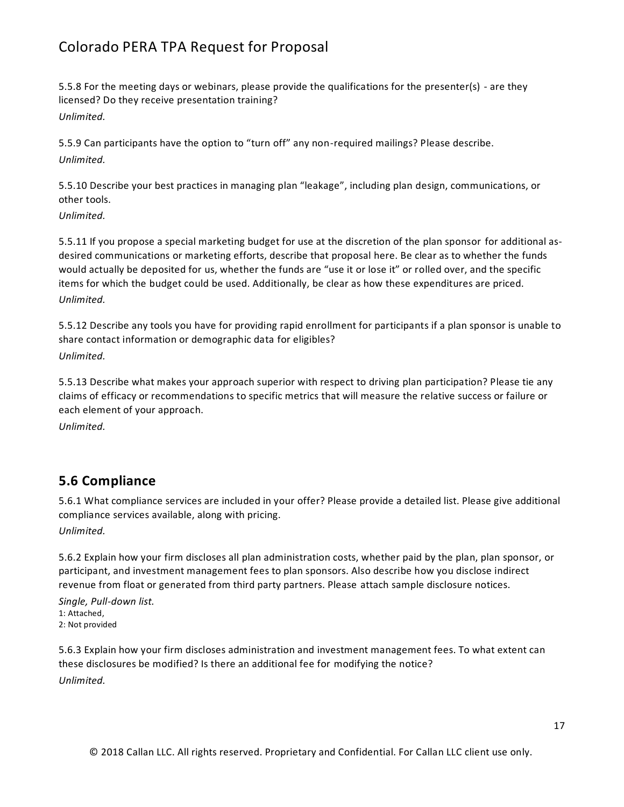5.5.8 For the meeting days or webinars, please provide the qualifications for the presenter(s) - are they licensed? Do they receive presentation training? *Unlimited.*

5.5.9 Can participants have the option to "turn off" any non-required mailings? Please describe. *Unlimited.*

5.5.10 Describe your best practices in managing plan "leakage", including plan design, communications, or other tools.

*Unlimited.*

5.5.11 If you propose a special marketing budget for use at the discretion of the plan sponsor for additional asdesired communications or marketing efforts, describe that proposal here. Be clear as to whether the funds would actually be deposited for us, whether the funds are "use it or lose it" or rolled over, and the specific items for which the budget could be used. Additionally, be clear as how these expenditures are priced. *Unlimited.*

5.5.12 Describe any tools you have for providing rapid enrollment for participants if a plan sponsor is unable to share contact information or demographic data for eligibles? *Unlimited.*

5.5.13 Describe what makes your approach superior with respect to driving plan participation? Please tie any claims of efficacy or recommendations to specific metrics that will measure the relative success or failure or each element of your approach.

*Unlimited.*

### **5.6 Compliance**

5.6.1 What compliance services are included in your offer? Please provide a detailed list. Please give additional compliance services available, along with pricing.

*Unlimited.*

5.6.2 Explain how your firm discloses all plan administration costs, whether paid by the plan, plan sponsor, or participant, and investment management fees to plan sponsors. Also describe how you disclose indirect revenue from float or generated from third party partners. Please attach sample disclosure notices.

*Single, Pull-down list.* 1: Attached,

2: Not provided

5.6.3 Explain how your firm discloses administration and investment management fees. To what extent can these disclosures be modified? Is there an additional fee for modifying the notice? *Unlimited.*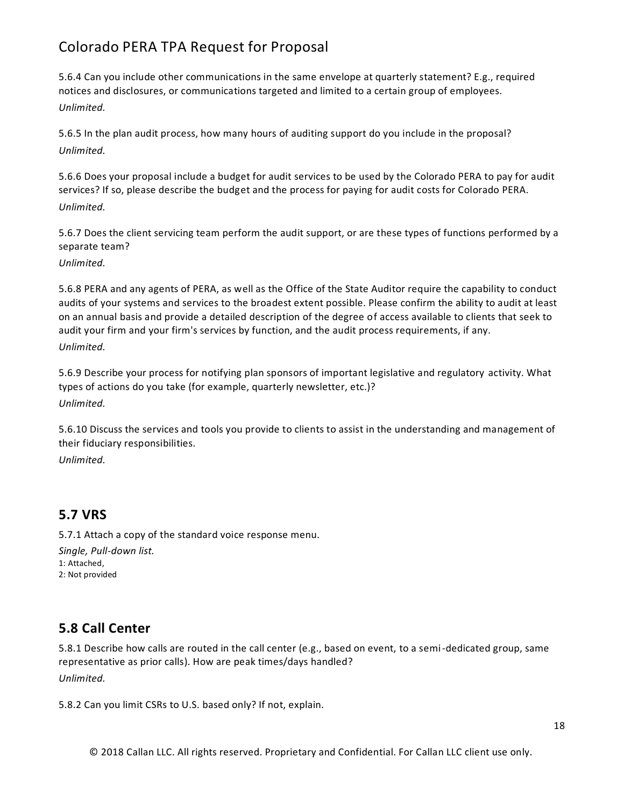5.6.4 Can you include other communications in the same envelope at quarterly statement? E.g., required notices and disclosures, or communications targeted and limited to a certain group of employees. *Unlimited.*

5.6.5 In the plan audit process, how many hours of auditing support do you include in the proposal? *Unlimited.*

5.6.6 Does your proposal include a budget for audit services to be used by the Colorado PERA to pay for audit services? If so, please describe the budget and the process for paying for audit costs for Colorado PERA. *Unlimited.*

5.6.7 Does the client servicing team perform the audit support, or are these types of functions performed by a separate team?

*Unlimited.*

5.6.8 PERA and any agents of PERA, as well as the Office of the State Auditor require the capability to conduct audits of your systems and services to the broadest extent possible. Please confirm the ability to audit at least on an annual basis and provide a detailed description of the degree of access available to clients that seek to audit your firm and your firm's services by function, and the audit process requirements, if any. *Unlimited.*

5.6.9 Describe your process for notifying plan sponsors of important legislative and regulatory activity. What types of actions do you take (for example, quarterly newsletter, etc.)? *Unlimited.*

5.6.10 Discuss the services and tools you provide to clients to assist in the understanding and management of their fiduciary responsibilities.

*Unlimited.*

### **5.7 VRS**

5.7.1 Attach a copy of the standard voice response menu.

*Single, Pull-down list.* 1: Attached, 2: Not provided

### **5.8 Call Center**

5.8.1 Describe how calls are routed in the call center (e.g., based on event, to a semi-dedicated group, same representative as prior calls). How are peak times/days handled? *Unlimited.*

5.8.2 Can you limit CSRs to U.S. based only? If not, explain.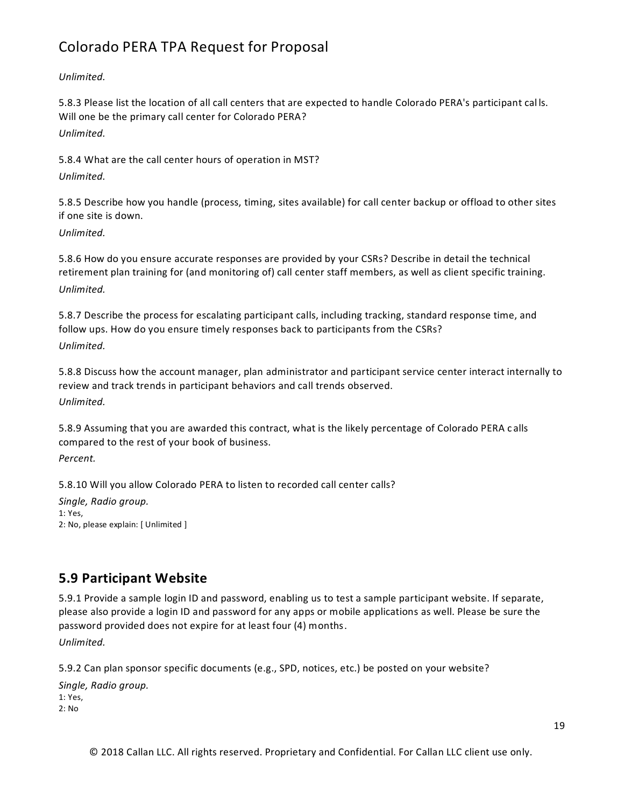*Unlimited.*

5.8.3 Please list the location of all call centers that are expected to handle Colorado PERA's participant cal ls. Will one be the primary call center for Colorado PERA? *Unlimited.*

5.8.4 What are the call center hours of operation in MST? *Unlimited.*

5.8.5 Describe how you handle (process, timing, sites available) for call center backup or offload to other sites if one site is down.

*Unlimited.*

5.8.6 How do you ensure accurate responses are provided by your CSRs? Describe in detail the technical retirement plan training for (and monitoring of) call center staff members, as well as client specific training. *Unlimited.*

5.8.7 Describe the process for escalating participant calls, including tracking, standard response time, and follow ups. How do you ensure timely responses back to participants from the CSRs? *Unlimited.*

5.8.8 Discuss how the account manager, plan administrator and participant service center interact internally to review and track trends in participant behaviors and call trends observed.

*Unlimited.*

5.8.9 Assuming that you are awarded this contract, what is the likely percentage of Colorado PERA c alls compared to the rest of your book of business.

*Percent.*

5.8.10 Will you allow Colorado PERA to listen to recorded call center calls?

*Single, Radio group.* 1: Yes, 2: No, please explain: [ Unlimited ]

### **5.9 Participant Website**

5.9.1 Provide a sample login ID and password, enabling us to test a sample participant website. If separate, please also provide a login ID and password for any apps or mobile applications as well. Please be sure the password provided does not expire for at least four (4) months.

*Unlimited.*

5.9.2 Can plan sponsor specific documents (e.g., SPD, notices, etc.) be posted on your website?

*Single, Radio group.* 1: Yes, 2: No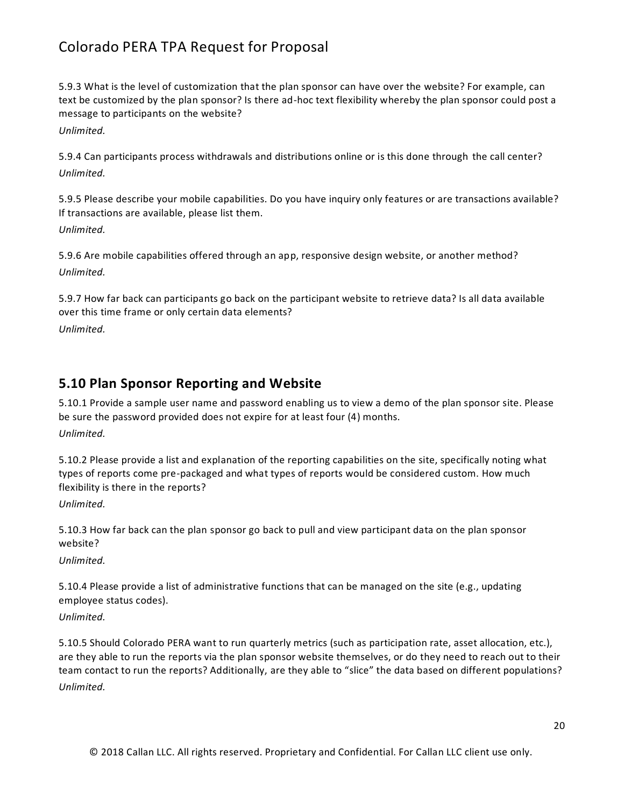5.9.3 What is the level of customization that the plan sponsor can have over the website? For example, can text be customized by the plan sponsor? Is there ad-hoc text flexibility whereby the plan sponsor could post a message to participants on the website?

*Unlimited.*

5.9.4 Can participants process withdrawals and distributions online or is this done through the call center? *Unlimited.*

5.9.5 Please describe your mobile capabilities. Do you have inquiry only features or are transactions available? If transactions are available, please list them. *Unlimited.*

5.9.6 Are mobile capabilities offered through an app, responsive design website, or another method? *Unlimited.*

5.9.7 How far back can participants go back on the participant website to retrieve data? Is all data available over this time frame or only certain data elements? *Unlimited.*

### **5.10 Plan Sponsor Reporting and Website**

5.10.1 Provide a sample user name and password enabling us to view a demo of the plan sponsor site. Please be sure the password provided does not expire for at least four (4) months. *Unlimited.*

5.10.2 Please provide a list and explanation of the reporting capabilities on the site, specifically noting what types of reports come pre-packaged and what types of reports would be considered custom. How much flexibility is there in the reports?

*Unlimited.*

5.10.3 How far back can the plan sponsor go back to pull and view participant data on the plan sponsor website?

*Unlimited.*

5.10.4 Please provide a list of administrative functions that can be managed on the site (e.g., updating employee status codes).

*Unlimited.*

5.10.5 Should Colorado PERA want to run quarterly metrics (such as participation rate, asset allocation, etc.), are they able to run the reports via the plan sponsor website themselves, or do they need to reach out to their team contact to run the reports? Additionally, are they able to "slice" the data based on different populations? *Unlimited.*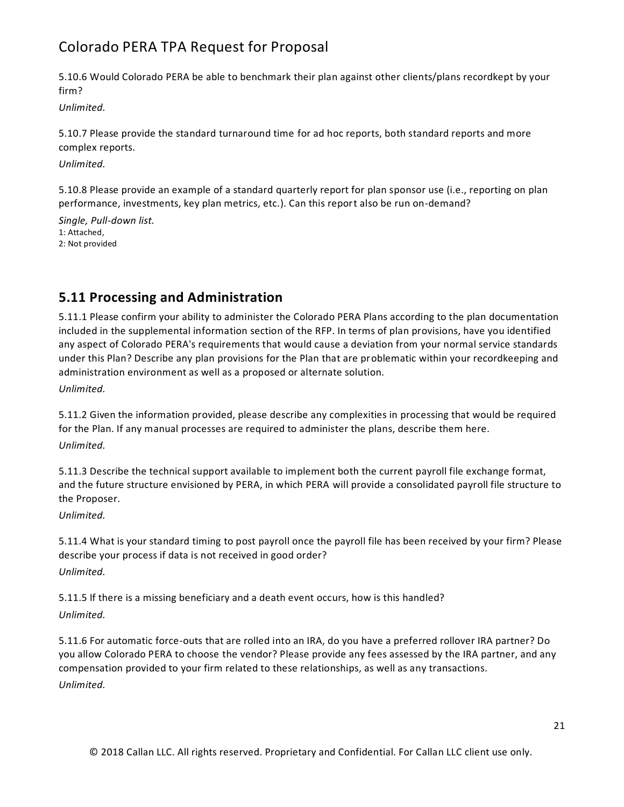5.10.6 Would Colorado PERA be able to benchmark their plan against other clients/plans recordkept by your firm?

*Unlimited.*

5.10.7 Please provide the standard turnaround time for ad hoc reports, both standard reports and more complex reports.

*Unlimited.*

5.10.8 Please provide an example of a standard quarterly report for plan sponsor use (i.e., reporting on plan performance, investments, key plan metrics, etc.). Can this report also be run on-demand?

*Single, Pull-down list.* 1: Attached, 2: Not provided

### **5.11 Processing and Administration**

5.11.1 Please confirm your ability to administer the Colorado PERA Plans according to the plan documentation included in the supplemental information section of the RFP. In terms of plan provisions, have you identified any aspect of Colorado PERA's requirements that would cause a deviation from your normal service standards under this Plan? Describe any plan provisions for the Plan that are problematic within your recordkeeping and administration environment as well as a proposed or alternate solution.

*Unlimited.*

5.11.2 Given the information provided, please describe any complexities in processing that would be required for the Plan. If any manual processes are required to administer the plans, describe them here.

*Unlimited.*

5.11.3 Describe the technical support available to implement both the current payroll file exchange format, and the future structure envisioned by PERA, in which PERA will provide a consolidated payroll file structure to the Proposer.

*Unlimited.*

5.11.4 What is your standard timing to post payroll once the payroll file has been received by your firm? Please describe your process if data is not received in good order?

*Unlimited.*

5.11.5 If there is a missing beneficiary and a death event occurs, how is this handled?

*Unlimited.*

5.11.6 For automatic force-outs that are rolled into an IRA, do you have a preferred rollover IRA partner? Do you allow Colorado PERA to choose the vendor? Please provide any fees assessed by the IRA partner, and any compensation provided to your firm related to these relationships, as well as any transactions. *Unlimited.*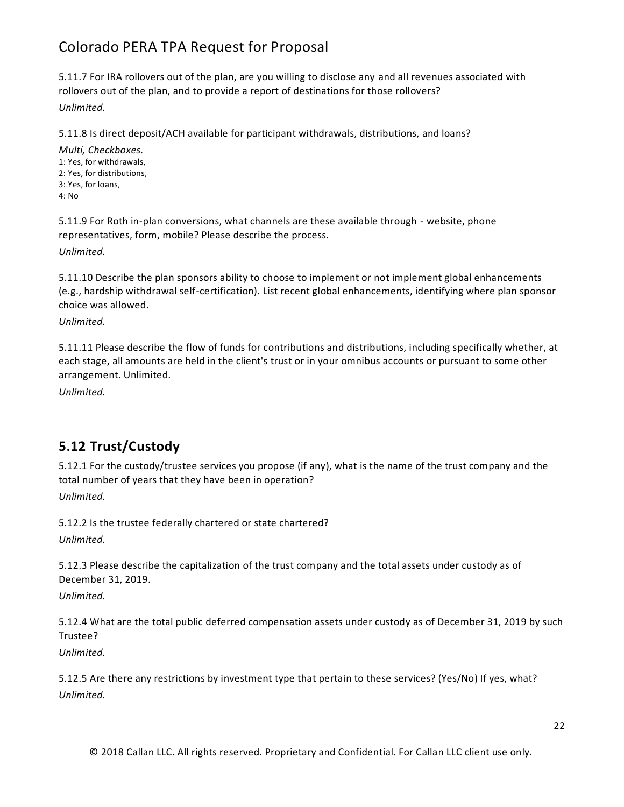5.11.7 For IRA rollovers out of the plan, are you willing to disclose any and all revenues associated with rollovers out of the plan, and to provide a report of destinations for those rollovers?

*Unlimited.*

5.11.8 Is direct deposit/ACH available for participant withdrawals, distributions, and loans?

*Multi, Checkboxes.* 1: Yes, for withdrawals, 2: Yes, for distributions, 3: Yes, for loans, 4: No

5.11.9 For Roth in-plan conversions, what channels are these available through - website, phone representatives, form, mobile? Please describe the process.

*Unlimited.*

5.11.10 Describe the plan sponsors ability to choose to implement or not implement global enhancements (e.g., hardship withdrawal self-certification). List recent global enhancements, identifying where plan sponsor choice was allowed.

*Unlimited.*

5.11.11 Please describe the flow of funds for contributions and distributions, including specifically whether, at each stage, all amounts are held in the client's trust or in your omnibus accounts or pursuant to some other arrangement. Unlimited.

*Unlimited.*

### **5.12 Trust/Custody**

5.12.1 For the custody/trustee services you propose (if any), what is the name of the trust company and the total number of years that they have been in operation? *Unlimited.*

5.12.2 Is the trustee federally chartered or state chartered?

*Unlimited.*

5.12.3 Please describe the capitalization of the trust company and the total assets under custody as of December 31, 2019.

*Unlimited.*

5.12.4 What are the total public deferred compensation assets under custody as of December 31, 2019 by such Trustee?

*Unlimited.*

5.12.5 Are there any restrictions by investment type that pertain to these services? (Yes/No) If yes, what? *Unlimited.*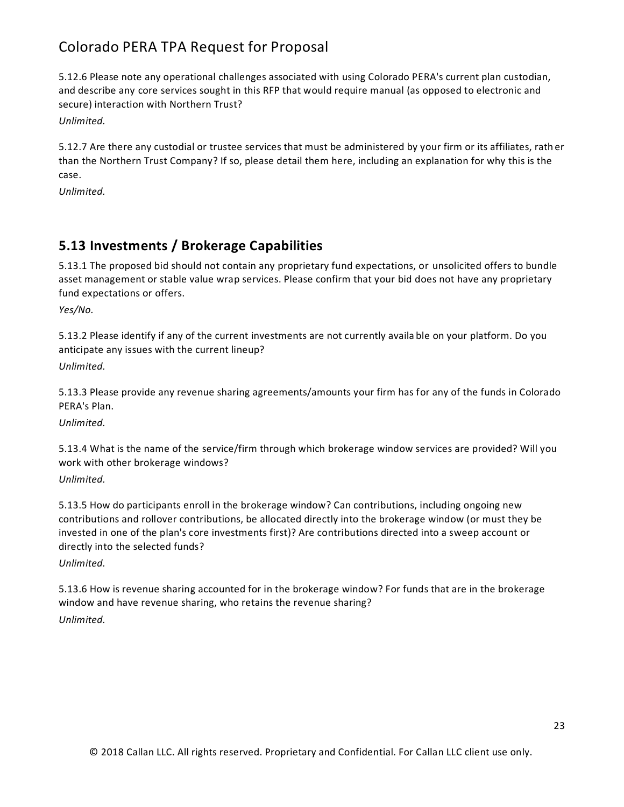5.12.6 Please note any operational challenges associated with using Colorado PERA's current plan custodian, and describe any core services sought in this RFP that would require manual (as opposed to electronic and secure) interaction with Northern Trust?

*Unlimited.*

5.12.7 Are there any custodial or trustee services that must be administered by your firm or its affiliates, rath er than the Northern Trust Company? If so, please detail them here, including an explanation for why this is the case.

*Unlimited.*

### **5.13 Investments / Brokerage Capabilities**

5.13.1 The proposed bid should not contain any proprietary fund expectations, or unsolicited offers to bundle asset management or stable value wrap services. Please confirm that your bid does not have any proprietary fund expectations or offers.

*Yes/No.*

5.13.2 Please identify if any of the current investments are not currently availa ble on your platform. Do you anticipate any issues with the current lineup?

*Unlimited.*

5.13.3 Please provide any revenue sharing agreements/amounts your firm has for any of the funds in Colorado PERA's Plan.

*Unlimited.*

5.13.4 What is the name of the service/firm through which brokerage window services are provided? Will you work with other brokerage windows?

### *Unlimited.*

5.13.5 How do participants enroll in the brokerage window? Can contributions, including ongoing new contributions and rollover contributions, be allocated directly into the brokerage window (or must they be invested in one of the plan's core investments first)? Are contributions directed into a sweep account or directly into the selected funds?

*Unlimited.*

5.13.6 How is revenue sharing accounted for in the brokerage window? For funds that are in the brokerage window and have revenue sharing, who retains the revenue sharing? *Unlimited.*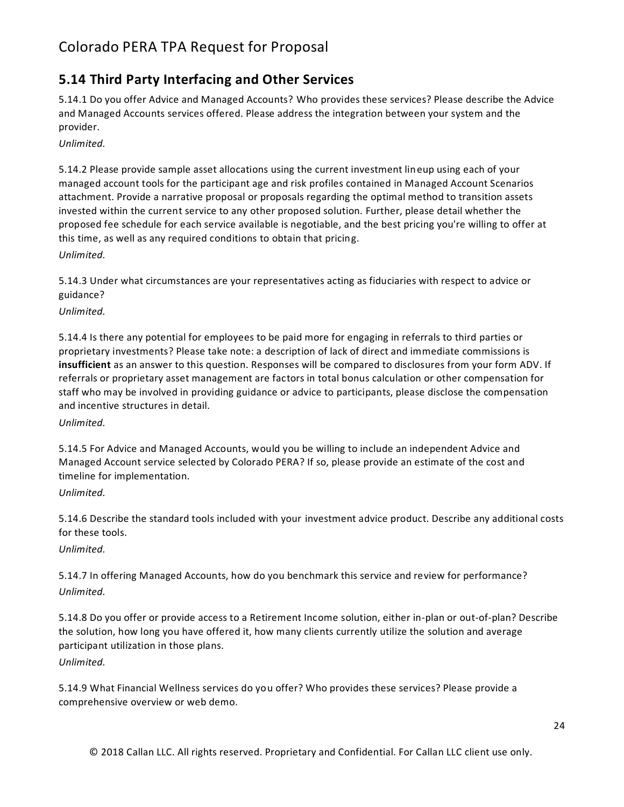### **5.14 Third Party Interfacing and Other Services**

5.14.1 Do you offer Advice and Managed Accounts? Who provides these services? Please describe the Advice and Managed Accounts services offered. Please address the integration between your system and the provider.

*Unlimited.*

5.14.2 Please provide sample asset allocations using the current investment lineup using each of your managed account tools for the participant age and risk profiles contained in Managed Account Scenarios attachment. Provide a narrative proposal or proposals regarding the optimal method to transition assets invested within the current service to any other proposed solution. Further, please detail whether the proposed fee schedule for each service available is negotiable, and the best pricing you're willing to offer at this time, as well as any required conditions to obtain that pricing. *Unlimited.*

5.14.3 Under what circumstances are your representatives acting as fiduciaries with respect to advice or guidance?

*Unlimited.*

5.14.4 Is there any potential for employees to be paid more for engaging in referrals to third parties or proprietary investments? Please take note: a description of lack of direct and immediate commissions is **insufficient** as an answer to this question. Responses will be compared to disclosures from your form ADV. If referrals or proprietary asset management are factors in total bonus calculation or other compensation for staff who may be involved in providing guidance or advice to participants, please disclose the compensation and incentive structures in detail.

*Unlimited.*

5.14.5 For Advice and Managed Accounts, would you be willing to include an independent Advice and Managed Account service selected by Colorado PERA? If so, please provide an estimate of the cost and timeline for implementation.

*Unlimited.*

5.14.6 Describe the standard tools included with your investment advice product. Describe any additional costs for these tools.

*Unlimited.*

5.14.7 In offering Managed Accounts, how do you benchmark this service and review for performance? *Unlimited.*

5.14.8 Do you offer or provide access to a Retirement Income solution, either in-plan or out-of-plan? Describe the solution, how long you have offered it, how many clients currently utilize the solution and average participant utilization in those plans.

*Unlimited.*

5.14.9 What Financial Wellness services do you offer? Who provides these services? Please provide a comprehensive overview or web demo.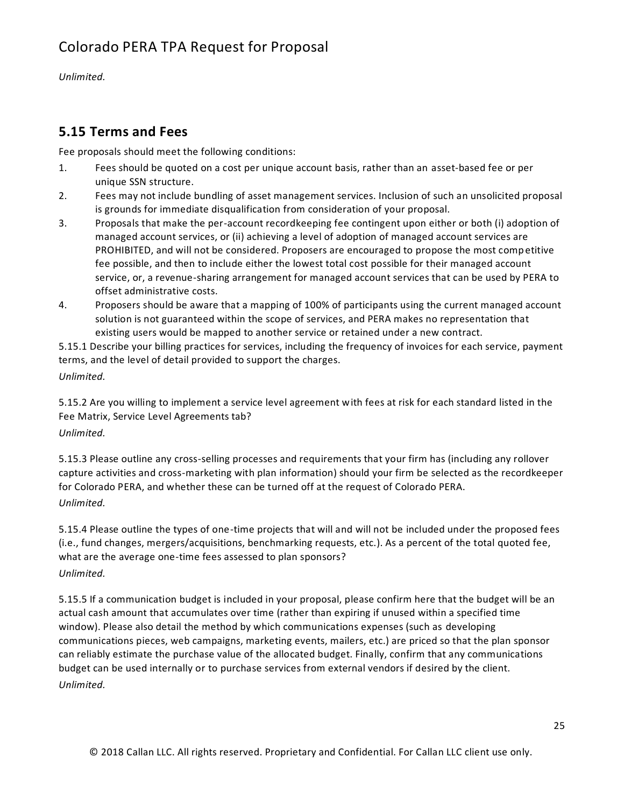*Unlimited.*

### **5.15 Terms and Fees**

Fee proposals should meet the following conditions:

- 1. Fees should be quoted on a cost per unique account basis, rather than an asset-based fee or per unique SSN structure.
- 2. Fees may not include bundling of asset management services. Inclusion of such an unsolicited proposal is grounds for immediate disqualification from consideration of your proposal.
- 3. Proposals that make the per-account recordkeeping fee contingent upon either or both (i) adoption of managed account services, or (ii) achieving a level of adoption of managed account services are PROHIBITED, and will not be considered. Proposers are encouraged to propose the most competitive fee possible, and then to include either the lowest total cost possible for their managed account service, or, a revenue-sharing arrangement for managed account services that can be used by PERA to offset administrative costs.
- 4. Proposers should be aware that a mapping of 100% of participants using the current managed account solution is not guaranteed within the scope of services, and PERA makes no representation that existing users would be mapped to another service or retained under a new contract.

5.15.1 Describe your billing practices for services, including the frequency of invoices for each service, payment terms, and the level of detail provided to support the charges. *Unlimited.*

5.15.2 Are you willing to implement a service level agreement with fees at risk for each standard listed in the Fee Matrix, Service Level Agreements tab?

*Unlimited.*

5.15.3 Please outline any cross-selling processes and requirements that your firm has (including any rollover capture activities and cross-marketing with plan information) should your firm be selected as the recordkeeper for Colorado PERA, and whether these can be turned off at the request of Colorado PERA. *Unlimited.*

5.15.4 Please outline the types of one-time projects that will and will not be included under the proposed fees (i.e., fund changes, mergers/acquisitions, benchmarking requests, etc.). As a percent of the total quoted fee, what are the average one-time fees assessed to plan sponsors?

*Unlimited.*

5.15.5 If a communication budget is included in your proposal, please confirm here that the budget will be an actual cash amount that accumulates over time (rather than expiring if unused within a specified time window). Please also detail the method by which communications expenses (such as developing communications pieces, web campaigns, marketing events, mailers, etc.) are priced so that the plan sponsor can reliably estimate the purchase value of the allocated budget. Finally, confirm that any communications budget can be used internally or to purchase services from external vendors if desired by the client. *Unlimited.*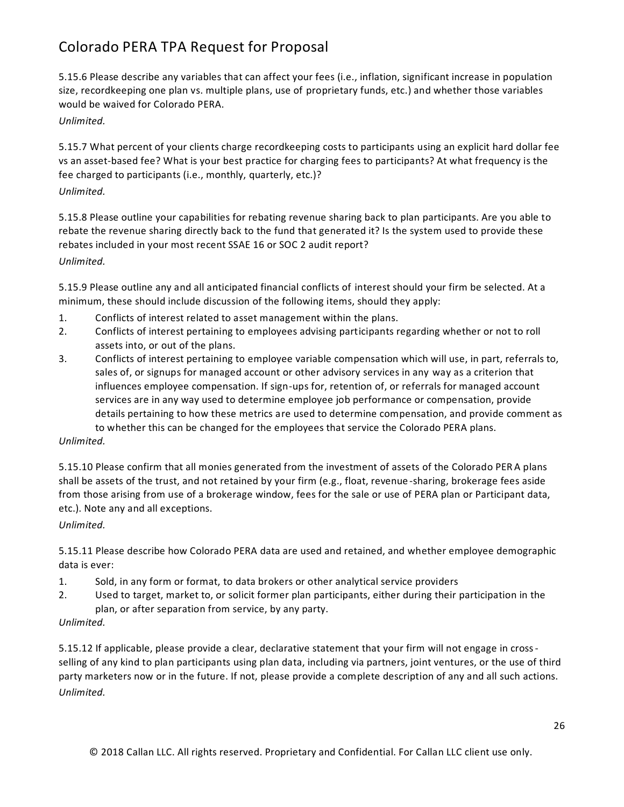5.15.6 Please describe any variables that can affect your fees (i.e., inflation, significant increase in population size, recordkeeping one plan vs. multiple plans, use of proprietary funds, etc.) and whether those variables would be waived for Colorado PERA.

### *Unlimited.*

5.15.7 What percent of your clients charge recordkeeping costs to participants using an explicit hard dollar fee vs an asset-based fee? What is your best practice for charging fees to participants? At what frequency is the fee charged to participants (i.e., monthly, quarterly, etc.)?

### *Unlimited.*

5.15.8 Please outline your capabilities for rebating revenue sharing back to plan participants. Are you able to rebate the revenue sharing directly back to the fund that generated it? Is the system used to provide these rebates included in your most recent SSAE 16 or SOC 2 audit report? *Unlimited.*

5.15.9 Please outline any and all anticipated financial conflicts of interest should your firm be selected. At a minimum, these should include discussion of the following items, should they apply:

- 1. Conflicts of interest related to asset management within the plans.
- 2. Conflicts of interest pertaining to employees advising participants regarding whether or not to roll assets into, or out of the plans.
- 3. Conflicts of interest pertaining to employee variable compensation which will use, in part, referrals to, sales of, or signups for managed account or other advisory services in any way as a criterion that influences employee compensation. If sign-ups for, retention of, or referrals for managed account services are in any way used to determine employee job performance or compensation, provide details pertaining to how these metrics are used to determine compensation, and provide comment as to whether this can be changed for the employees that service the Colorado PERA plans.

#### *Unlimited.*

5.15.10 Please confirm that all monies generated from the investment of assets of the Colorado PER A plans shall be assets of the trust, and not retained by your firm (e.g., float, revenue -sharing, brokerage fees aside from those arising from use of a brokerage window, fees for the sale or use of PERA plan or Participant data, etc.). Note any and all exceptions.

#### *Unlimited.*

5.15.11 Please describe how Colorado PERA data are used and retained, and whether employee demographic data is ever:

- 1. Sold, in any form or format, to data brokers or other analytical service providers
- 2. Used to target, market to, or solicit former plan participants, either during their participation in the plan, or after separation from service, by any party.

#### *Unlimited.*

5.15.12 If applicable, please provide a clear, declarative statement that your firm will not engage in crossselling of any kind to plan participants using plan data, including via partners, joint ventures, or the use of third party marketers now or in the future. If not, please provide a complete description of any and all such actions. *Unlimited.*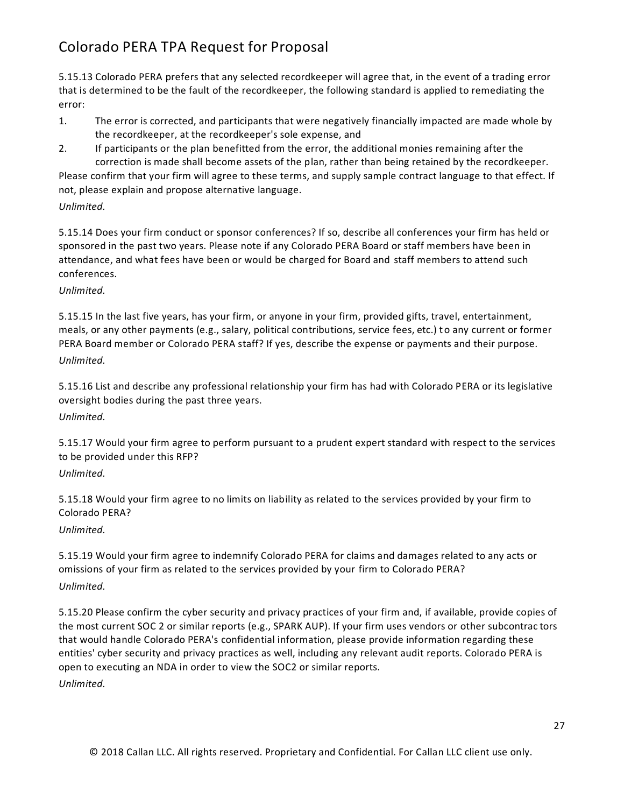5.15.13 Colorado PERA prefers that any selected recordkeeper will agree that, in the event of a trading error that is determined to be the fault of the recordkeeper, the following standard is applied to remediating the error:

- 1. The error is corrected, and participants that were negatively financially impacted are made whole by the recordkeeper, at the recordkeeper's sole expense, and
- 2. If participants or the plan benefitted from the error, the additional monies remaining after the correction is made shall become assets of the plan, rather than being retained by the recordkeeper.

Please confirm that your firm will agree to these terms, and supply sample contract language to that effect. If not, please explain and propose alternative language.

#### *Unlimited.*

5.15.14 Does your firm conduct or sponsor conferences? If so, describe all conferences your firm has held or sponsored in the past two years. Please note if any Colorado PERA Board or staff members have been in attendance, and what fees have been or would be charged for Board and staff members to attend such conferences.

#### *Unlimited.*

5.15.15 In the last five years, has your firm, or anyone in your firm, provided gifts, travel, entertainment, meals, or any other payments (e.g., salary, political contributions, service fees, etc.) t o any current or former PERA Board member or Colorado PERA staff? If yes, describe the expense or payments and their purpose. *Unlimited.*

5.15.16 List and describe any professional relationship your firm has had with Colorado PERA or its legislative oversight bodies during the past three years.

### *Unlimited.*

5.15.17 Would your firm agree to perform pursuant to a prudent expert standard with respect to the services to be provided under this RFP?

### *Unlimited.*

5.15.18 Would your firm agree to no limits on liability as related to the services provided by your firm to Colorado PERA?

#### *Unlimited.*

5.15.19 Would your firm agree to indemnify Colorado PERA for claims and damages related to any acts or omissions of your firm as related to the services provided by your firm to Colorado PERA? *Unlimited.*

5.15.20 Please confirm the cyber security and privacy practices of your firm and, if available, provide copies of the most current SOC 2 or similar reports (e.g., SPARK AUP). If your firm uses vendors or other subcontrac tors that would handle Colorado PERA's confidential information, please provide information regarding these entities' cyber security and privacy practices as well, including any relevant audit reports. Colorado PERA is open to executing an NDA in order to view the SOC2 or similar reports.

*Unlimited.*